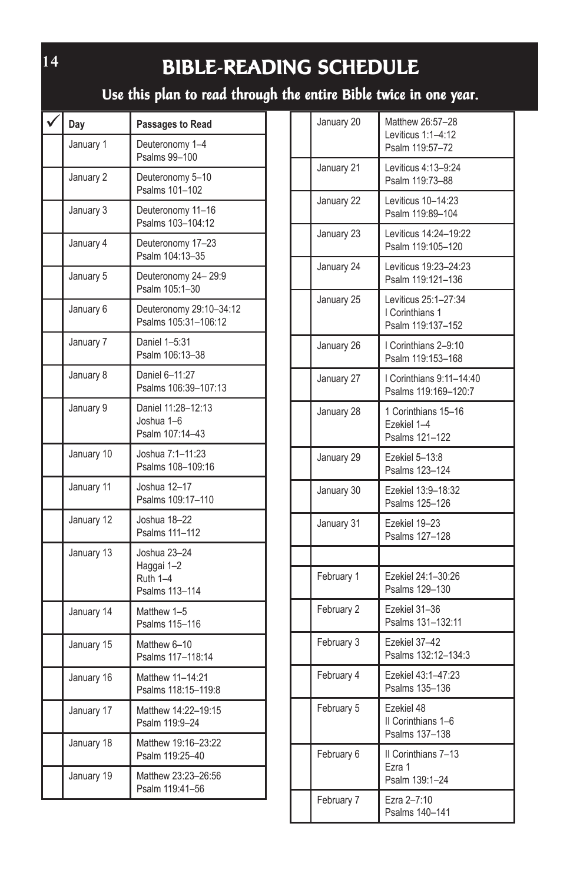# **BIBLE-READING SCHEDULE**

**Use this plan to read through the entire Bible twice in one year.**

| Day        | Passages to Read                                         |
|------------|----------------------------------------------------------|
| January 1  | Deuteronomy 1-4<br>Psalms 99-100                         |
| January 2  | Deuteronomy 5-10<br>Psalms 101-102                       |
| January 3  | Deuteronomy 11-16<br>Psalms 103-104:12                   |
| January 4  | Deuteronomy 17-23<br>Psalm 104:13-35                     |
| January 5  | Deuteronomy 24-29:9<br>Psalm 105:1-30                    |
| January 6  | Deuteronomy 29:10-34:12<br>Psalms 105:31-106:12          |
| January 7  | Daniel 1-5:31<br>Psalm 106:13-38                         |
| January 8  | Daniel 6-11:27<br>Psalms 106:39-107:13                   |
| January 9  | Daniel 11:28-12:13<br>Joshua 1-6<br>Psalm 107:14-43      |
| January 10 | Joshua 7:1-11:23<br>Psalms 108-109:16                    |
| January 11 | Joshua 12-17<br>Psalms 109:17-110                        |
| January 12 | Joshua 18-22<br>Psalms 111-112                           |
| January 13 | Joshua 23-24<br>Haggai 1-2<br>Ruth 1-4<br>Psalms 113-114 |
| January 14 | Matthew 1-5<br>Psalms 115-116                            |
| January 15 | Matthew 6-10<br>Psalms 117-118:14                        |
| January 16 | Matthew 11-14:21<br>Psalms 118:15-119:8                  |
| January 17 | Matthew 14:22-19:15<br>Psalm 119:9-24                    |
| January 18 | Matthew 19:16-23:22<br>Psalm 119:25-40                   |
| January 19 | Matthew 23:23-26:56<br>Psalm 119:41-56                   |

| January 20 | Matthew 26:57-28<br>Leviticus 1:1-4:12<br>Psalm 119:57-72    |
|------------|--------------------------------------------------------------|
| January 21 | Leviticus 4:13-9:24<br>Psalm 119:73-88                       |
| January 22 | Leviticus 10-14:23<br>Psalm 119:89-104                       |
| January 23 | Leviticus 14:24-19:22<br>Psalm 119:105-120                   |
| January 24 | Leviticus 19:23-24:23<br>Psalm 119:121-136                   |
| January 25 | Leviticus 25:1-27:34<br>I Corinthians 1<br>Psalm 119:137-152 |
| January 26 | I Corinthians 2-9:10<br>Psalm 119:153-168                    |
| January 27 | I Corinthians 9:11-14:40<br>Psalms 119:169-120:7             |
| January 28 | 1 Corinthians 15-16<br>Ezekiel 1-4<br>Psalms 121-122         |
| January 29 | Ezekiel 5-13:8<br>Psalms 123-124                             |
| January 30 | Ezekiel 13:9-18:32<br>Psalms 125-126                         |
| January 31 | Ezekiel 19-23<br>Psalms 127-128                              |
| February 1 | Ezekiel 24:1-30:26<br>Psalms 129-130                         |
| February 2 | Ezekiel 31-36<br>Psalms 131-132:11                           |
| February 3 | Ezekiel 37-42<br>Psalms 132:12-134:3                         |
| February 4 | Ezekiel 43:1-47:23<br>Psalms 135-136                         |
| February 5 | Ezekiel 48<br>II Corinthians 1-6<br>Psalms 137-138           |
| February 6 | II Corinthians 7-13<br>Ezra 1<br>Psalm 139:1-24              |
| February 7 | Ezra 2-7:10<br>Psalms 140-141                                |

**14**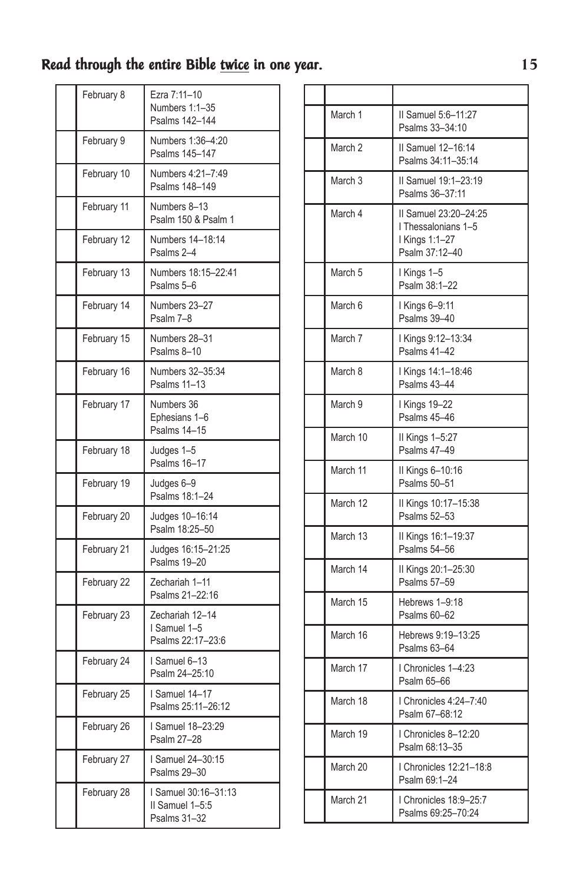| February 8  | Ezra 7:11-10<br>Numbers 1:1-35<br>Psalms 142-144        |
|-------------|---------------------------------------------------------|
| February 9  | Numbers 1:36-4:20<br>Psalms 145-147                     |
| February 10 | Numbers 4:21-7:49<br>Psalms 148-149                     |
| February 11 | Numbers 8-13<br>Psalm 150 & Psalm 1                     |
| February 12 | Numbers 14-18:14<br>Psalms 2-4                          |
| February 13 | Numbers 18:15-22:41<br>Psalms 5-6                       |
| February 14 | Numbers 23-27<br>Psalm 7-8                              |
| February 15 | Numbers 28-31<br>Psalms 8-10                            |
| February 16 | Numbers 32-35:34<br>Psalms 11-13                        |
| February 17 | Numbers 36<br>Ephesians 1-6<br>Psalms 14-15             |
| February 18 | Judges 1-5<br>Psalms 16-17                              |
| February 19 | Judges 6-9<br>Psalms 18:1-24                            |
| February 20 | Judges 10-16:14<br>Psalm 18:25-50                       |
| February 21 | Judges 16:15-21:25<br>Psalms 19-20                      |
| February 22 | Zechariah 1-11<br>Psalms 21-22:16                       |
| February 23 | Zechariah 12-14<br>I Samuel 1-5<br>Psalms 22:17-23:6    |
| February 24 | Samuel 6-13<br>Psalm 24-25:10                           |
| February 25 | I Samuel 14-17<br>Psalms 25:11-26:12                    |
| February 26 | I Samuel 18-23:29<br>Psalm 27-28                        |
| February 27 | I Samuel 24-30:15<br>Psalms 29-30                       |
| February 28 | I Samuel 30:16-31:13<br>II Samuel 1-5:5<br>Psalms 31-32 |

| March 1            | II Samuel 5:6-11:27<br>Psalms 33-34:10                                           |
|--------------------|----------------------------------------------------------------------------------|
| March <sub>2</sub> | II Samuel 12-16:14<br>Psalms 34:11-35:14                                         |
| March <sub>3</sub> | II Samuel 19:1-23:19<br>Psalms 36-37:11                                          |
| March 4            | II Samuel 23:20-24:25<br>I Thessalonians 1-5<br>I Kings 1:1-27<br>Psalm 37:12-40 |
| March <sub>5</sub> | I Kings 1-5<br>Psalm 38:1-22                                                     |
| March 6            | I Kings 6-9:11<br>Psalms 39-40                                                   |
| March 7            | I Kings 9:12-13:34<br>Psalms 41-42                                               |
| March 8            | I Kings 14:1-18:46<br><b>Psalms 43-44</b>                                        |
| March 9            | <b>Kings 19-22</b><br>Psalms 45-46                                               |
| March 10           | II Kings 1-5:27<br>Psalms 47-49                                                  |
| March 11           | II Kings 6-10:16<br>Psalms 50-51                                                 |
| March 12           | II Kings 10:17-15:38<br>Psalms 52-53                                             |
| March 13           | II Kings 16:1-19:37<br>Psalms 54-56                                              |
| March 14           | II Kings 20:1-25:30<br>Psalms 57-59                                              |
| March 15           | Hebrews 1-9:18<br>Psalms 60-62                                                   |
| March 16           | Hebrews 9:19-13:25<br>Psalms 63-64                                               |
| March 17           | I Chronicles 1-4:23<br>Psalm 65-66                                               |
| March 18           | I Chronicles 4:24-7:40<br>Psalm 67-68:12                                         |
| March 19           | I Chronicles 8-12:20<br>Psalm 68:13-35                                           |
| March 20           | I Chronicles 12:21-18:8<br>Psalm 69:1-24                                         |
| March 21           | I Chronicles 18:9-25:7<br>Psalms 69:25-70:24                                     |
|                    |                                                                                  |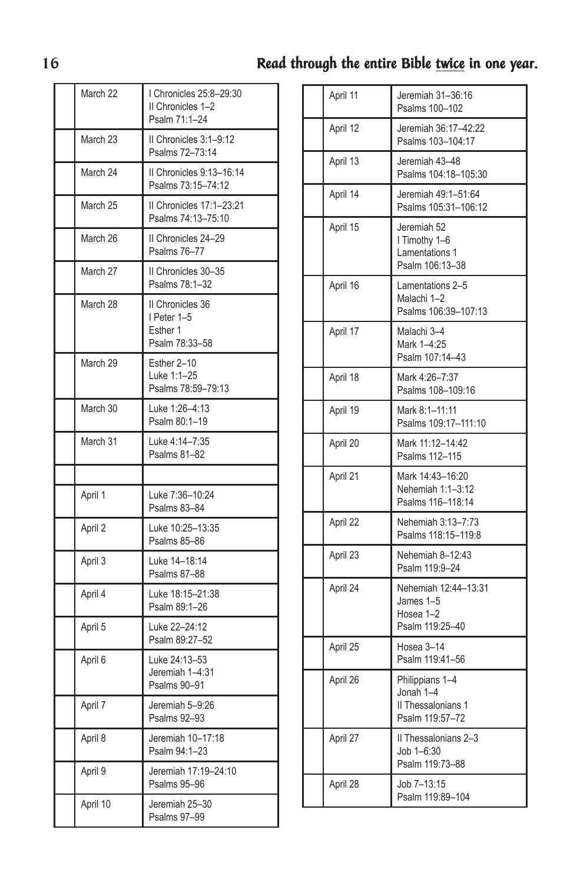| March 22 | I Chronicles 25:8-29:30<br>II Chronicles 1-2<br>Psalm 71:1-24 |
|----------|---------------------------------------------------------------|
| March 23 | II Chronicles 3:1-9:12<br>Psalms 72-73:14                     |
| March 24 | II Chronicles 9:13-16:14<br>Psalms 73:15-74:12                |
| March 25 | II Chronicles 17:1-23:21<br>Psalms 74:13-75:10                |
| March 26 | II Chronicles 24-29<br>Psalms 76-77                           |
| March 27 | II Chronicles 30-35<br>Psalms 78:1-32                         |
| March 28 | II Chronicles 36<br>I Peter 1-5<br>Esther 1<br>Psalm 78:33-58 |
| March 29 | Esther 2-10<br>Luke 1:1-25<br>Psalms 78:59-79:13              |
| March 30 | Luke 1:26-4:13<br>Psalm 80:1-19                               |
| March 31 | Luke 4:14-7:35<br>Psalms 81-82                                |
|          |                                                               |
| April 1  | Luke 7:36-10:24<br>Psalms 83-84                               |
| April 2  | Luke 10:25-13:35<br>Psalms 85-86                              |
| April 3  | Luke 14-18:14<br>Psalms 87-88                                 |
| April 4  | Luke 18:15-21:38<br>Psalm 89:1-26                             |
| April 5  | Luke 22-24:12<br>Psalm 89:27-52                               |
| April 6  | Luke 24:13-53<br>Jeremiah 1-4:31<br>Psalms 90-91              |
| April 7  | Jeremiah 5-9:26<br>Psalms 92-93                               |
| April 8  | Jeremiah 10-17:18<br>Psalm 94:1-23                            |
| April 9  | Jeremiah 17:19-24:10<br>Psalms 95-96                          |
| April 10 | Jeremiah 25-30<br>Psalms 97-99                                |

| April 11 | Jeremiah 31-36:16<br>Psalms 100-102                                   |
|----------|-----------------------------------------------------------------------|
| April 12 | Jeremiah 36:17-42:22<br>Psalms 103-104:17                             |
| April 13 | Jeremiah 43-48<br>Psalms 104:18-105:30                                |
| April 14 | Jeremiah 49:1-51:64<br>Psalms 105:31-106:12                           |
| April 15 | Jeremiah 52<br>I Timothy 1-6<br>Lamentations 1<br>Psalm 106:13-38     |
| April 16 | Lamentations 2-5<br>Malachi 1-2<br>Psalms 106:39-107:13               |
| April 17 | Malachi 3-4<br>Mark 1-4:25<br>Psalm 107:14-43                         |
| April 18 | Mark 4:26-7:37<br>Psalms 108-109:16                                   |
| April 19 | Mark 8:1-11:11<br>Psalms 109:17-111:10                                |
| April 20 | Mark 11:12-14:42<br>Psalms 112-115                                    |
| April 21 | Mark 14:43-16:20<br>Nehemiah 1:1-3:12<br>Psalms 116-118:14            |
| April 22 | Nehemiah 3:13-7:73<br>Psalms 118:15-119:8                             |
| April 23 | Nehemiah 8-12:43<br>Psalm 119:9-24                                    |
| April 24 | Nehemiah 12:44-13:31<br>James 1-5<br>Hosea 1-2<br>Psalm 119:25-40     |
| April 25 | Hosea 3-14<br>Psalm 119:41-56                                         |
| April 26 | Philippians 1-4<br>Jonah 1-4<br>II Thessalonians 1<br>Psalm 119:57-72 |
| April 27 | II Thessalonians 2-3<br>Job 1-6:30<br>Psalm 119:73-88                 |
| April 28 | Job 7-13:15<br>Psalm 119:89-104                                       |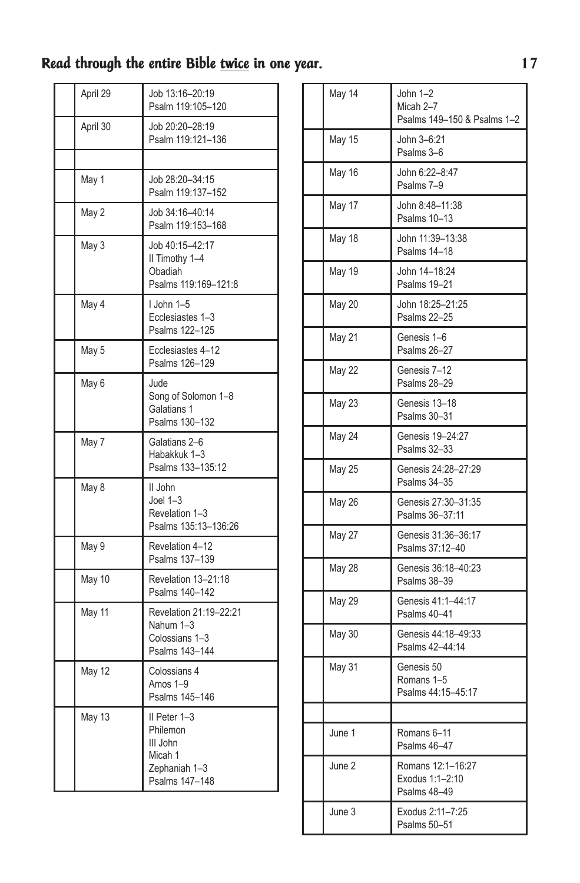| April 29 | Job 13:16-20:19<br>Psalm 119:105-120                                               |
|----------|------------------------------------------------------------------------------------|
| April 30 | Job 20:20-28:19<br>Psalm 119:121-136                                               |
|          |                                                                                    |
| May 1    | Job 28:20-34:15<br>Psalm 119:137-152                                               |
| May 2    | Job 34:16-40:14<br>Psalm 119:153-168                                               |
| May 3    | Job 40:15-42:17<br>II Timothy 1-4<br>Obadiah<br>Psalms 119:169-121:8               |
| May 4    | I John 1-5<br>Ecclesiastes 1-3<br>Psalms 122-125                                   |
| May 5    | Ecclesiastes 4-12<br>Psalms 126-129                                                |
| May 6    | Jude<br>Song of Solomon 1-8<br>Galatians 1<br>Psalms 130-132                       |
| May 7    | Galatians 2-6<br>Habakkuk 1-3<br>Psalms 133-135:12                                 |
| May 8    | II John<br>Joel $1-3$<br>Revelation 1-3<br>Psalms 135:13-136:26                    |
| May 9    | Revelation 4-12<br>Psalms 137-139                                                  |
| May 10   | Revelation 13-21:18<br>Psalms 140-142                                              |
| May 11   | Revelation 21:19-22:21<br>Nahum 1-3<br>Colossians 1-3<br>Psalms 143-144            |
| May 12   | Colossians 4<br>Amos 1-9<br>Psalms 145-146                                         |
| May 13   | II Peter 1-3<br>Philemon<br>III John<br>Micah 1<br>Zephaniah 1-3<br>Psalms 147-148 |

| May 14        | John 1-2<br>Micah 2-7<br>Psalms 149-150 & Psalms 1-2 |
|---------------|------------------------------------------------------|
| May 15        | John 3-6:21<br>Psalms 3-6                            |
| May 16        | John 6:22-8:47<br>Psalms 7-9                         |
| May 17        | John 8:48-11:38<br>Psalms 10-13                      |
| May 18        | John 11:39-13:38<br>Psalms 14-18                     |
| May 19        | John 14-18:24<br>Psalms 19-21                        |
| <b>May 20</b> | John 18:25-21:25<br>Psalms 22-25                     |
| May 21        | Genesis 1-6<br>Psalms 26-27                          |
| <b>May 22</b> | Genesis 7-12<br>Psalms 28-29                         |
| <b>May 23</b> | Genesis 13-18<br>Psalms 30-31                        |
| May 24        | Genesis 19-24:27<br>Psalms 32-33                     |
| <b>May 25</b> | Genesis 24:28-27:29<br>Psalms 34-35                  |
| May 26        | Genesis 27:30-31:35<br>Psalms 36-37:11               |
| May 27        | Genesis 31:36-36:17<br>Psalms 37:12-40               |
| <b>May 28</b> | Genesis 36:18-40:23<br>Psalms 38-39                  |
| <b>May 29</b> | Genesis 41:1-44:17<br>Psalms 40-41                   |
| May 30        | Genesis 44:18-49:33<br>Psalms 42-44:14               |
| <b>May 31</b> | Genesis 50<br>Romans 1-5<br>Psalms 44:15-45:17       |
|               |                                                      |
| June 1        | Romans 6-11<br>Psalms 46-47                          |
| June 2        | Romans 12:1-16:27<br>Exodus 1:1-2:10<br>Psalms 48-49 |
| June 3        | Exodus 2:11-7:25<br>Psalms 50-51                     |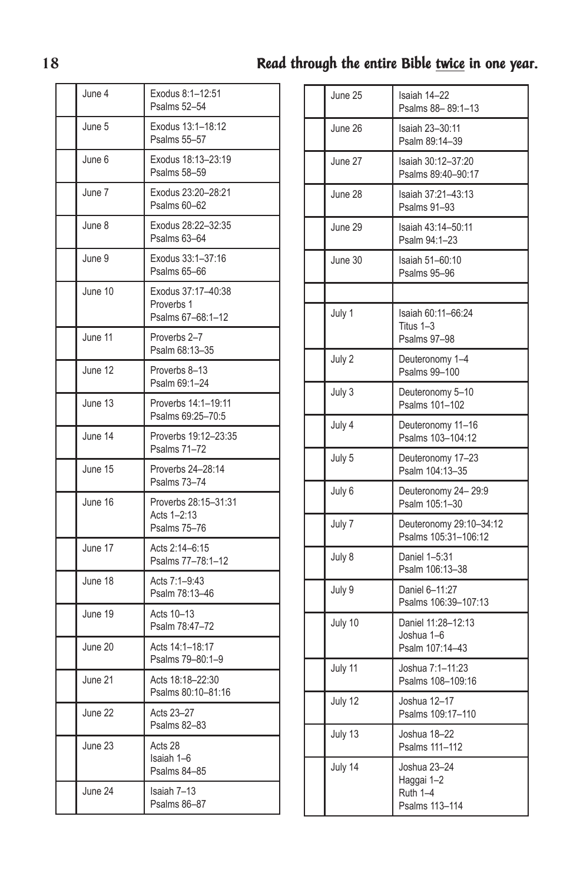| June 4  | Exodus 8:1-12:51<br>Psalms 52-54                      |
|---------|-------------------------------------------------------|
| June 5  | Exodus 13:1-18:12<br>Psalms 55-57                     |
| June 6  | Exodus 18:13-23:19<br>Psalms 58-59                    |
| June 7  | Exodus 23:20-28:21<br>Psalms 60-62                    |
| June 8  | Exodus 28:22-32:35<br>Psalms 63-64                    |
| June 9  | Exodus 33:1-37:16<br>Psalms 65-66                     |
| June 10 | Exodus 37:17-40:38<br>Proverbs 1<br>Psalms 67-68:1-12 |
| June 11 | Proverbs 2-7<br>Psalm 68:13-35                        |
| June 12 | Proverbs 8-13<br>Psalm 69:1-24                        |
| June 13 | Proverbs 14:1-19:11<br>Psalms 69:25-70:5              |
| June 14 | Proverbs 19:12-23:35<br>Psalms 71-72                  |
| June 15 | Proverbs 24-28:14<br><b>Psalms 73-74</b>              |
| June 16 | Proverbs 28:15-31:31<br>Acts 1-2:13<br>Psalms 75-76   |
| June 17 | Acts 2:14-6:15<br>Psalms 77-78:1-12                   |
| June 18 | Acts 7:1-9:43<br>Psalm 78:13-46                       |
| June 19 | Acts 10-13<br>Psalm 78:47-72                          |
| June 20 | Acts 14:1-18:17<br>Psalms 79-80:1-9                   |
| June 21 | Acts 18:18-22:30<br>Psalms 80:10-81:16                |
| June 22 | Acts 23-27<br>Psalms 82-83                            |
| June 23 | Acts 28<br>Isaiah 1-6<br>Psalms 84-85                 |
| June 24 | Isaiah 7-13<br>Psalms 86-87                           |

| June 25 | Isaiah 14-22<br>Psalms 88-89:1-13                        |
|---------|----------------------------------------------------------|
| June 26 | Isaiah 23-30:11<br>Psalm 89:14-39                        |
| June 27 | Isaiah 30:12-37:20<br>Psalms 89:40-90:17                 |
| June 28 | Isaiah 37:21-43:13<br>Psalms 91-93                       |
| June 29 | Isaiah 43:14-50:11<br>Psalm 94:1-23                      |
| June 30 | Isaiah 51-60:10<br>Psalms 95-96                          |
|         |                                                          |
| July 1  | Isaiah 60:11-66:24<br>Titus 1-3<br>Psalms 97-98          |
| July 2  | Deuteronomy 1-4<br>Psalms 99-100                         |
| July 3  | Deuteronomy 5-10<br>Psalms 101-102                       |
| July 4  | Deuteronomy 11-16<br>Psalms 103-104:12                   |
| July 5  | Deuteronomy 17-23<br>Psalm 104:13-35                     |
| July 6  | Deuteronomy 24-29:9<br>Psalm 105:1-30                    |
| July 7  | Deuteronomy 29:10-34:12<br>Psalms 105:31-106:12          |
| July 8  | Daniel 1-5:31<br>Psalm 106:13-38                         |
| July 9  | Daniel 6-11:27<br>Psalms 106:39-107:13                   |
| July 10 | Daniel 11:28-12:13<br>Joshua 1-6<br>Psalm 107:14-43      |
| July 11 | Joshua 7:1-11:23<br>Psalms 108-109:16                    |
| July 12 | Joshua 12-17<br>Psalms 109:17-110                        |
| July 13 | Joshua 18-22<br>Psalms 111-112                           |
| July 14 | Joshua 23-24<br>Haggai 1-2<br>Ruth 1-4<br>Psalms 113-114 |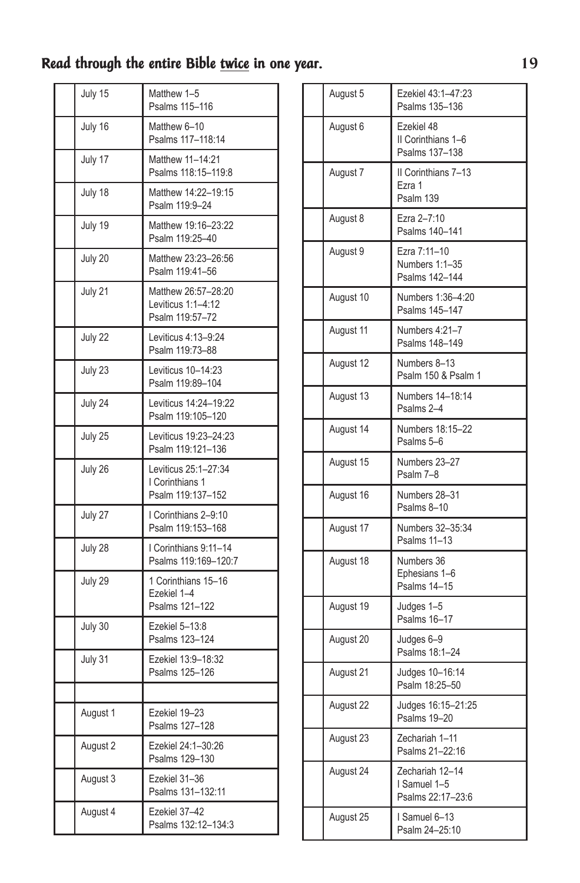| July 15  | Matthew 1-5<br>Psalms 115-116                                |
|----------|--------------------------------------------------------------|
| July 16  | Matthew 6-10<br>Psalms 117-118:14                            |
| July 17  | Matthew 11-14:21<br>Psalms 118:15-119:8                      |
| July 18  | Matthew 14:22-19:15<br>Psalm 119:9-24                        |
| July 19  | Matthew 19:16-23:22<br>Psalm 119:25-40                       |
| July 20  | Matthew 23:23-26:56<br>Psalm 119:41-56                       |
| July 21  | Matthew 26:57-28:20<br>Leviticus 1:1-4:12<br>Psalm 119:57-72 |
| July 22  | Leviticus 4:13-9:24<br>Psalm 119:73-88                       |
| July 23  | Leviticus 10-14:23<br>Psalm 119:89-104                       |
| July 24  | Leviticus 14:24-19:22<br>Psalm 119:105-120                   |
| July 25  | Leviticus 19:23-24:23<br>Psalm 119:121-136                   |
| July 26  | Leviticus 25:1-27:34<br>I Corinthians 1<br>Psalm 119:137-152 |
| July 27  | I Corinthians 2-9:10<br>Psalm 119:153-168                    |
| July 28  | I Corinthians 9:11-14<br>Psalms 119:169-120:7                |
| July 29  | 1 Corinthians 15-16<br>Ezekiel 1-4<br>Psalms 121-122         |
| July 30  | Ezekiel 5-13:8<br>Psalms 123-124                             |
| July 31  | Ezekiel 13:9-18:32<br>Psalms 125-126                         |
|          |                                                              |
| August 1 | Ezekiel 19-23<br>Psalms 127-128                              |
| August 2 | Ezekiel 24:1-30:26<br>Psalms 129-130                         |
| August 3 | Ezekiel 31-36<br>Psalms 131-132:11                           |
| August 4 | Ezekiel 37-42<br>Psalms 132:12-134:3                         |

| August 5  | Ezekiel 43:1-47:23<br>Psalms 135-136                 |
|-----------|------------------------------------------------------|
| August 6  | Ezekiel 48<br>II Corinthians 1-6<br>Psalms 137-138   |
| August 7  | II Corinthians 7-13<br>Ezra 1<br>Psalm 139           |
| August 8  | Ezra 2-7:10<br>Psalms 140-141                        |
| August 9  | Ezra 7:11-10<br>Numbers 1:1-35<br>Psalms 142-144     |
| August 10 | Numbers 1:36-4:20<br>Psalms 145-147                  |
| August 11 | Numbers 4:21-7<br>Psalms 148-149                     |
| August 12 | Numbers 8-13<br>Psalm 150 & Psalm 1                  |
| August 13 | Numbers 14-18:14<br>Psalms 2-4                       |
| August 14 | Numbers 18:15-22<br>Psalms 5-6                       |
| August 15 | Numbers 23-27<br>Psalm 7-8                           |
| August 16 | Numbers 28-31<br>Psalms 8-10                         |
| August 17 | Numbers 32-35:34<br>Psalms 11-13                     |
| August 18 | Numbers 36<br>Ephesians 1-6<br>Psalms 14-15          |
| August 19 | Judges 1-5<br>Psalms 16-17                           |
| August 20 | Judges 6-9<br>Psalms 18:1-24                         |
| August 21 | Judges 10-16:14<br>Psalm 18:25-50                    |
| August 22 | Judges 16:15-21:25<br>Psalms 19-20                   |
| August 23 | Zechariah 1-11<br>Psalms 21-22:16                    |
| August 24 | Zechariah 12-14<br>I Samuel 1-5<br>Psalms 22:17-23:6 |
| August 25 | Samuel 6-13<br>Psalm 24-25:10                        |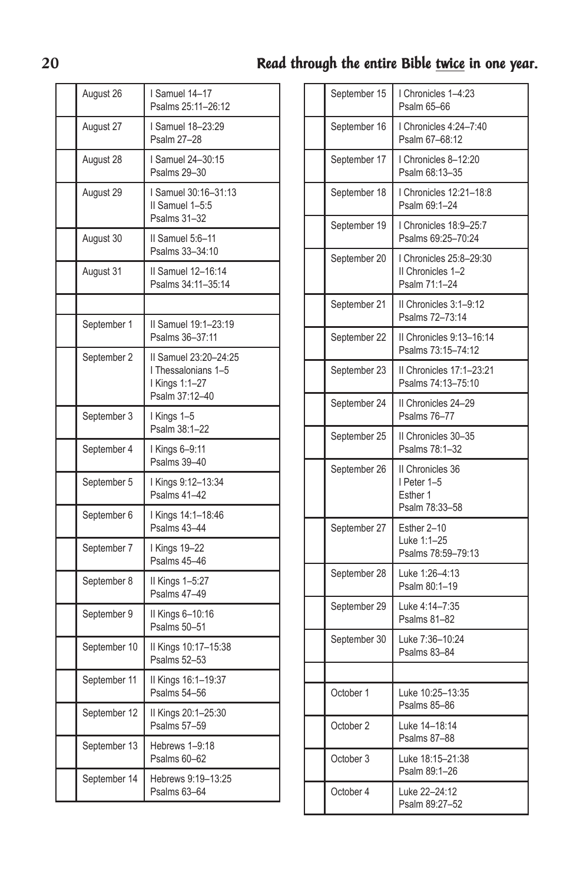| August 26    | I Samuel 14-17<br>Psalms 25:11-26:12                                             |
|--------------|----------------------------------------------------------------------------------|
| August 27    | <b>Samuel 18-23:29</b><br>Psalm 27-28                                            |
| August 28    | I Samuel 24-30:15<br>Psalms 29-30                                                |
| August 29    | I Samuel 30:16-31:13<br>II Samuel 1-5:5<br>Psalms 31-32                          |
| August 30    | II Samuel 5:6-11<br>Psalms 33-34:10                                              |
| August 31    | II Samuel 12-16:14<br>Psalms 34:11-35:14                                         |
|              |                                                                                  |
| September 1  | Il Samuel 19:1-23:19<br>Psalms 36-37:11                                          |
| September 2  | II Samuel 23:20-24:25<br>I Thessalonians 1-5<br>I Kings 1:1-27<br>Psalm 37:12-40 |
| September 3  | I Kings 1-5<br>Psalm 38:1-22                                                     |
| September 4  | I Kings 6-9:11<br>Psalms 39-40                                                   |
| September 5  | I Kings 9:12-13:34<br>Psalms 41-42                                               |
| September 6  | I Kings 14:1-18:46<br>Psalms 43-44                                               |
| September 7  | I Kings 19-22<br>Psalms 45-46                                                    |
| September 8  | II Kings 1-5:27<br>Psalms 47-49                                                  |
| September 9  | II Kings 6-10:16<br>Psalms 50-51                                                 |
| September 10 | II Kings 10:17-15:38<br>Psalms 52-53                                             |
| September 11 | II Kings 16:1-19:37<br>Psalms 54-56                                              |
| September 12 | II Kings 20:1-25:30<br>Psalms 57-59                                              |
| September 13 | Hebrews 1-9:18<br>Psalms 60-62                                                   |
| September 14 | Hebrews 9:19-13:25<br>Psalms 63-64                                               |

| September 15 | I Chronicles 1-4:23                                           |
|--------------|---------------------------------------------------------------|
|              | Psalm 65-66                                                   |
| September 16 | I Chronicles 4:24-7:40<br>Psalm 67-68:12                      |
| September 17 | Chronicles 8-12:20<br>Psalm 68:13-35                          |
| September 18 | I Chronicles 12:21-18:8<br>Psalm 69:1-24                      |
| September 19 | Chronicles 18:9-25:7<br>Psalms 69:25-70:24                    |
| September 20 | I Chronicles 25:8-29:30<br>II Chronicles 1-2<br>Psalm 71:1-24 |
| September 21 | II Chronicles 3:1-9:12<br>Psalms 72-73:14                     |
| September 22 | II Chronicles 9:13-16:14<br>Psalms 73:15-74:12                |
| September 23 | Il Chronicles 17:1-23:21<br>Psalms 74:13-75:10                |
| September 24 | II Chronicles 24-29<br>Psalms 76-77                           |
| September 25 | II Chronicles 30-35<br>Psalms 78:1-32                         |
| September 26 | II Chronicles 36<br>I Peter 1-5<br>Esther 1<br>Psalm 78:33-58 |
| September 27 | Esther 2-10<br>Luke 1:1-25<br>Psalms 78:59-79:13              |
| September 28 | Luke 1:26-4:13<br>Psalm 80:1-19                               |
| September 29 | Luke 4:14-7:35<br>Psalms 81-82                                |
| September 30 | Luke 7:36-10:24<br>Psalms 83-84                               |
|              |                                                               |
| October 1    | Luke 10:25-13:35<br>Psalms 85-86                              |
| October 2    | Luke 14-18:14<br>Psalms 87-88                                 |
| October 3    | Luke 18:15-21:38<br>Psalm 89:1-26                             |
| October 4    | Luke 22-24:12<br>Psalm 89:27-52                               |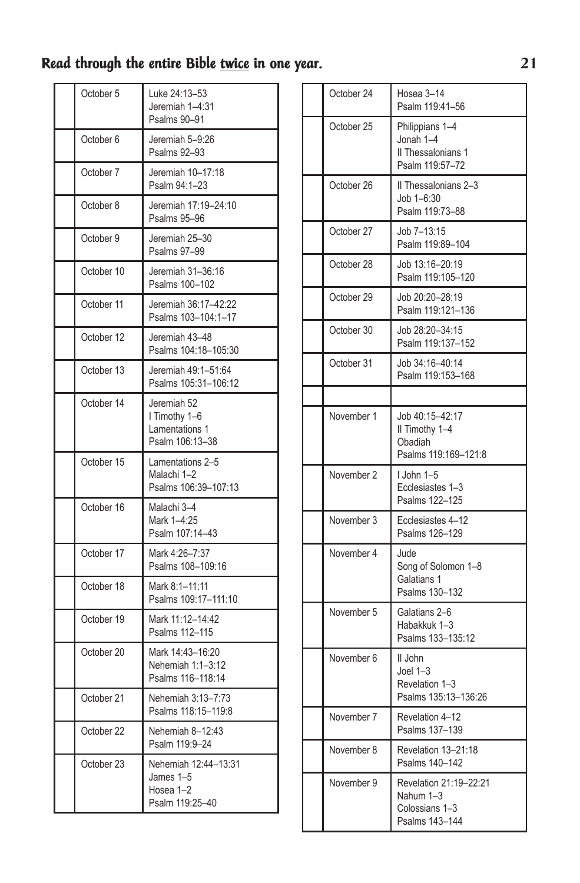| October 5  | Luke 24:13-53<br>Jeremiah 1-4:31<br>Psalms 90-91                  |
|------------|-------------------------------------------------------------------|
| October 6  | Jeremiah 5-9:26<br>Psalms 92-93                                   |
| October 7  | Jeremiah 10-17:18<br>Psalm 94:1-23                                |
| October 8  | Jeremiah 17:19-24:10<br>Psalms 95-96                              |
| October 9  | Jeremiah 25-30<br>Psalms 97-99                                    |
| October 10 | Jeremiah 31-36:16<br>Psalms 100-102                               |
| October 11 | Jeremiah 36:17-42:22<br>Psalms 103-104:1-17                       |
| October 12 | Jeremiah 43-48<br>Psalms 104:18-105:30                            |
| October 13 | Jeremiah 49:1-51:64<br>Psalms 105:31-106:12                       |
| October 14 | Jeremiah 52<br>I Timothy 1-6<br>Lamentations 1<br>Psalm 106:13-38 |
| October 15 | Lamentations 2-5<br>Malachi 1-2<br>Psalms 106:39-107:13           |
| October 16 | Malachi 3-4<br>Mark 1-4:25<br>Psalm 107:14-43                     |
| October 17 | Mark 4:26-7:37<br>Psalms 108-109:16                               |
| October 18 | Mark 8:1-11:11<br>Psalms 109:17-111:10                            |
| October 19 | Mark 11:12-14:42<br>Psalms 112-115                                |
| October 20 | Mark 14:43-16:20<br>Nehemiah 1:1-3:12<br>Psalms 116-118:14        |
| October 21 | Nehemiah 3:13-7:73<br>Psalms 118:15-119:8                         |
| October 22 | Nehemiah 8-12:43<br>Psalm 119:9-24                                |
| October 23 | Nehemiah 12:44-13:31<br>James 1-5<br>Hosea 1-2<br>Psalm 119:25-40 |

| October 24 | Hosea 3-14<br>Psalm 119:41-56                                           |
|------------|-------------------------------------------------------------------------|
| October 25 | Philippians 1-4<br>Jonah 1-4<br>Il Thessalonians 1<br>Psalm 119:57-72   |
| October 26 | II Thessalonians 2-3<br>Job 1-6:30<br>Psalm 119:73-88                   |
| October 27 | Job 7-13:15<br>Psalm 119:89-104                                         |
| October 28 | Job 13:16-20:19<br>Psalm 119:105-120                                    |
| October 29 | Job 20:20-28:19<br>Psalm 119:121-136                                    |
| October 30 | Job 28:20-34:15<br>Psalm 119:137-152                                    |
| October 31 | Job 34:16-40:14<br>Psalm 119:153-168                                    |
|            |                                                                         |
| November 1 | Job 40:15-42:17<br>II Timothy 1-4<br>Obadiah<br>Psalms 119:169-121:8    |
| November 2 | I John 1-5<br>Ecclesiastes 1-3<br>Psalms 122-125                        |
| November 3 | Ecclesiastes 4-12<br>Psalms 126-129                                     |
| November 4 | Jude<br>Song of Solomon 1-8<br>Galatians 1<br>Psalms 130-132            |
| November 5 | Galatians 2-6<br>Habakkuk 1-3<br>Psalms 133-135:12                      |
| November 6 | II John<br>Joel $1-3$<br>Revelation 1-3<br>Psalms 135:13-136:26         |
| November 7 | Revelation 4-12<br>Psalms 137-139                                       |
| November 8 | Revelation 13-21:18<br>Psalms 140-142                                   |
| November 9 | Revelation 21:19-22:21<br>Nahum 1-3<br>Colossians 1-3<br>Psalms 143-144 |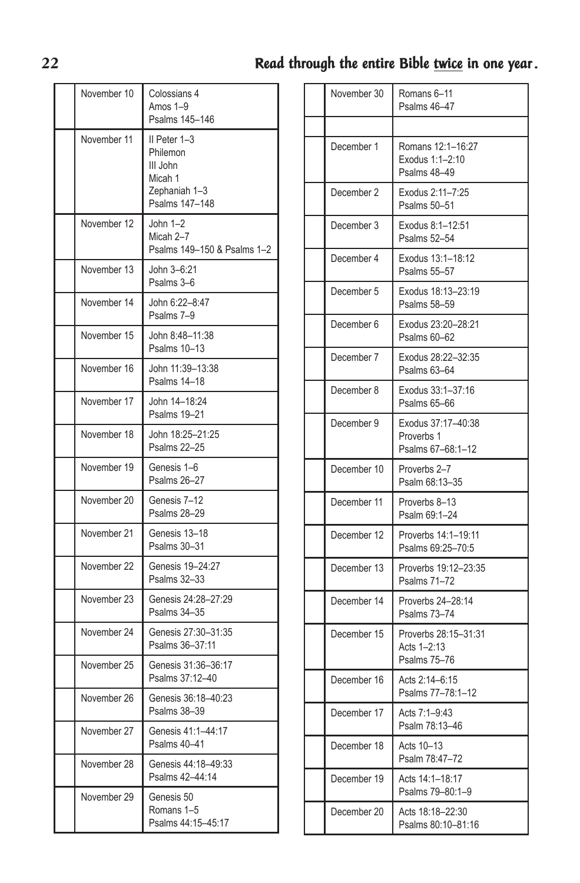#### November 10 | Colossians 4 Amos 1–9 Psalms 145–146 November 11 | II Peter 1-3 Philemon III John Micah 1 Zephaniah 1–3 Psalms 147–148 November 12 John 1–2 Micah 2–7 Psalms 149–150 & Psalms 1–2 November 13 John 3–6:21 Psalms 3–6 November 14 John 6:22–8:47 Psalms 7–9 November 15 John 8:48–11:38 Psalms 10–13 November 16 John 11:39–13:38 Psalms 14–18 November 17 John 14–18:24 Psalms 19–21 November 18 John 18:25–21:25 Psalms 22–25 November 19 | Genesis 1–6 Psalms 26–27 November 20 Genesis 7-12 Psalms 28–29 November 21 Genesis 13–18 Psalms 30–31 November 22 Genesis 19–24:27 Psalms 32–33 November 23 Genesis 24:28–27:29 Psalms 34–35 November 24 Genesis 27:30–31:35 Psalms 36–37:11 November 25 Genesis 31:36–36:17 Psalms 37:12–40 November 26 Genesis 36:18–40:23 Psalms 38–39 November 27 Genesis 41:1–44:17 Psalms 40–41 November 28 Genesis 44:18–49:33 Psalms 42–44:14 November 29 | Genesis 50 Romans 1–5 Psalms 44:15–45:17

| November 30 | Romans 6-11<br>Psalms 46-47                           |
|-------------|-------------------------------------------------------|
|             |                                                       |
| December 1  | Romans 12:1-16:27<br>Exodus 1:1-2:10<br>Psalms 48-49  |
| December 2  | Exodus 2:11-7:25<br>Psalms 50-51                      |
| December 3  | Exodus 8:1-12:51<br>Psalms 52-54                      |
| December 4  | Exodus 13:1-18:12<br>Psalms 55-57                     |
| December 5  | Exodus 18:13-23:19<br>Psalms 58-59                    |
| December 6  | Exodus 23:20-28:21<br>Psalms 60-62                    |
| December 7  | Exodus 28:22-32:35<br>Psalms 63-64                    |
| December 8  | Exodus 33:1-37:16<br>Psalms 65-66                     |
| December 9  | Exodus 37:17-40:38<br>Proverbs 1<br>Psalms 67-68:1-12 |
| December 10 | Proverbs 2-7<br>Psalm 68:13-35                        |
| December 11 | Proverbs 8-13<br>Psalm 69:1-24                        |
| December 12 | Proverbs 14:1-19:11<br>Psalms 69:25-70:5              |
| December 13 | Proverbs 19:12-23:35<br>Psalms 71-72                  |
| December 14 | Proverbs 24-28:14<br>Psalms 73-74                     |
| December 15 | Proverbs 28:15-31:31<br>Acts 1-2:13<br>Psalms 75-76   |
| December 16 | Acts 2:14-6:15<br>Psalms 77-78:1-12                   |
| December 17 | Acts 7:1-9:43<br>Psalm 78:13-46                       |
| December 18 | Acts 10-13<br>Psalm 78:47-72                          |
| December 19 | Acts 14:1-18:17<br>Psalms 79-80:1-9                   |
| December 20 | Acts 18:18-22:30<br>Psalms 80:10-81:16                |